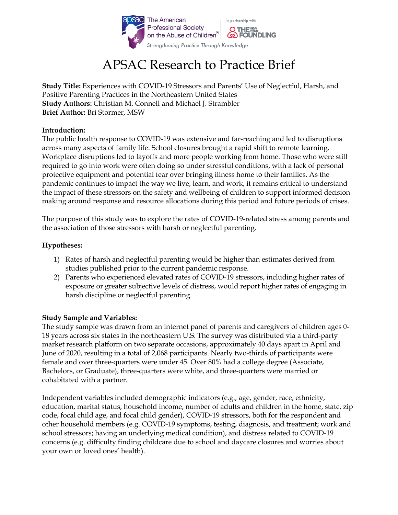

# APSAC Research to Practice Brief

**Study Title:** Experiences with COVID-19 Stressors and Parents' Use of Neglectful, Harsh, and Positive Parenting Practices in the Northeastern United States **Study Authors:** Christian M. Connell and Michael J. Strambler **Brief Author:** Bri Stormer, MSW

#### **Introduction:**

The public health response to COVID-19 was extensive and far-reaching and led to disruptions across many aspects of family life. School closures brought a rapid shift to remote learning. Workplace disruptions led to layoffs and more people working from home. Those who were still required to go into work were often doing so under stressful conditions, with a lack of personal protective equipment and potential fear over bringing illness home to their families. As the pandemic continues to impact the way we live, learn, and work, it remains critical to understand the impact of these stressors on the safety and wellbeing of children to support informed decision making around response and resource allocations during this period and future periods of crises.

The purpose of this study was to explore the rates of COVID-19-related stress among parents and the association of those stressors with harsh or neglectful parenting.

### **Hypotheses:**

- 1) Rates of harsh and neglectful parenting would be higher than estimates derived from studies published prior to the current pandemic response.
- 2) Parents who experienced elevated rates of COVID-19 stressors, including higher rates of exposure or greater subjective levels of distress, would report higher rates of engaging in harsh discipline or neglectful parenting.

### **Study Sample and Variables:**

The study sample was drawn from an internet panel of parents and caregivers of children ages 0- 18 years across six states in the northeastern U.S. The survey was distributed via a third-party market research platform on two separate occasions, approximately 40 days apart in April and June of 2020, resulting in a total of 2,068 participants. Nearly two-thirds of participants were female and over three-quarters were under 45. Over 80% had a college degree (Associate, Bachelors, or Graduate), three-quarters were white, and three-quarters were married or cohabitated with a partner.

Independent variables included demographic indicators (e.g., age, gender, race, ethnicity, education, marital status, household income, number of adults and children in the home, state, zip code, focal child age, and focal child gender), COVID-19 stressors, both for the respondent and other household members (e.g. COVID-19 symptoms, testing, diagnosis, and treatment; work and school stressors; having an underlying medical condition), and distress related to COVID-19 concerns (e.g. difficulty finding childcare due to school and daycare closures and worries about your own or loved ones' health).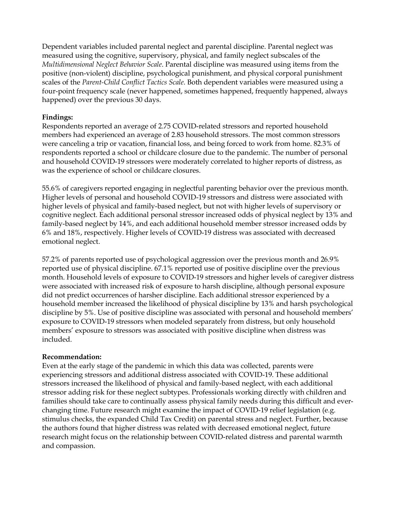Dependent variables included parental neglect and parental discipline. Parental neglect was measured using the cognitive, supervisory, physical, and family neglect subscales of the *Multidimensional Neglect Behavior Scale*. Parental discipline was measured using items from the positive (non-violent) discipline, psychological punishment, and physical corporal punishment scales of the *Parent-Child Conflict Tactics Scale*. Both dependent variables were measured using a four-point frequency scale (never happened, sometimes happened, frequently happened, always happened) over the previous 30 days.

## **Findings:**

Respondents reported an average of 2.75 COVID-related stressors and reported household members had experienced an average of 2.83 household stressors. The most common stressors were canceling a trip or vacation, financial loss, and being forced to work from home. 82.3% of respondents reported a school or childcare closure due to the pandemic. The number of personal and household COVID-19 stressors were moderately correlated to higher reports of distress, as was the experience of school or childcare closures.

55.6% of caregivers reported engaging in neglectful parenting behavior over the previous month. Higher levels of personal and household COVID-19 stressors and distress were associated with higher levels of physical and family-based neglect, but not with higher levels of supervisory or cognitive neglect. Each additional personal stressor increased odds of physical neglect by 13% and family-based neglect by 14%, and each additional household member stressor increased odds by 6% and 18%, respectively. Higher levels of COVID-19 distress was associated with decreased emotional neglect.

57.2% of parents reported use of psychological aggression over the previous month and 26.9% reported use of physical discipline. 67.1% reported use of positive discipline over the previous month. Household levels of exposure to COVID-19 stressors and higher levels of caregiver distress were associated with increased risk of exposure to harsh discipline, although personal exposure did not predict occurrences of harsher discipline. Each additional stressor experienced by a household member increased the likelihood of physical discipline by 13% and harsh psychological discipline by 5%. Use of positive discipline was associated with personal and household members' exposure to COVID-19 stressors when modeled separately from distress, but only household members' exposure to stressors was associated with positive discipline when distress was included.

### **Recommendation:**

Even at the early stage of the pandemic in which this data was collected, parents were experiencing stressors and additional distress associated with COVID-19. These additional stressors increased the likelihood of physical and family-based neglect, with each additional stressor adding risk for these neglect subtypes. Professionals working directly with children and families should take care to continually assess physical family needs during this difficult and everchanging time. Future research might examine the impact of COVID-19 relief legislation (e.g. stimulus checks, the expanded Child Tax Credit) on parental stress and neglect. Further, because the authors found that higher distress was related with decreased emotional neglect, future research might focus on the relationship between COVID-related distress and parental warmth and compassion.